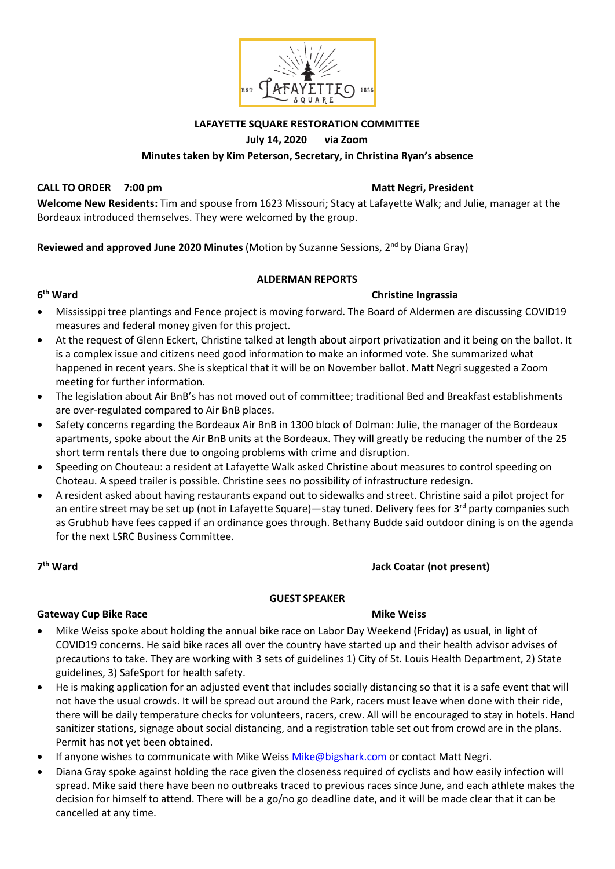

### **LAFAYETTE SQUARE RESTORATION COMMITTEE**

### **July 14, 2020 via Zoom**

### **Minutes taken by Kim Peterson, Secretary, in Christina Ryan's absence**

### **CALL TO ORDER 7:00 pm Matt Negri, President**

**Welcome New Residents:** Tim and spouse from 1623 Missouri; Stacy at Lafayette Walk; and Julie, manager at the Bordeaux introduced themselves. They were welcomed by the group.

**Reviewed and approved June 2020 Minutes** (Motion by Suzanne Sessions, 2nd by Diana Gray)

### **ALDERMAN REPORTS**

### **6<sup>th</sup>** Ward

### **Christine Ingrassia**

- Mississippi tree plantings and Fence project is moving forward. The Board of Aldermen are discussing COVID19 measures and federal money given for this project.
- At the request of Glenn Eckert, Christine talked at length about airport privatization and it being on the ballot. It is a complex issue and citizens need good information to make an informed vote. She summarized what happened in recent years. She is skeptical that it will be on November ballot. Matt Negri suggested a Zoom meeting for further information.
- The legislation about Air BnB's has not moved out of committee; traditional Bed and Breakfast establishments are over-regulated compared to Air BnB places.
- Safety concerns regarding the Bordeaux Air BnB in 1300 block of Dolman: Julie, the manager of the Bordeaux apartments, spoke about the Air BnB units at the Bordeaux. They will greatly be reducing the number of the 25 short term rentals there due to ongoing problems with crime and disruption.
- Speeding on Chouteau: a resident at Lafayette Walk asked Christine about measures to control speeding on Choteau. A speed trailer is possible. Christine sees no possibility of infrastructure redesign.
- A resident asked about having restaurants expand out to sidewalks and street. Christine said a pilot project for an entire street may be set up (not in Lafayette Square)—stay tuned. Delivery fees for  $3^{rd}$  party companies such as Grubhub have fees capped if an ordinance goes through. Bethany Budde said outdoor dining is on the agenda for the next LSRC Business Committee.

7<sup>th</sup> Ward

### **there** Jack Coatar (not present)

### **GUEST SPEAKER**

### **Gateway Cup Bike Race Mike Weiss Mike Weiss Mike Weiss**

- Mike Weiss spoke about holding the annual bike race on Labor Day Weekend (Friday) as usual, in light of COVID19 concerns. He said bike races all over the country have started up and their health advisor advises of precautions to take. They are working with 3 sets of guidelines 1) City of St. Louis Health Department, 2) State guidelines, 3) SafeSport for health safety.
- He is making application for an adjusted event that includes socially distancing so that it is a safe event that will not have the usual crowds. It will be spread out around the Park, racers must leave when done with their ride, there will be daily temperature checks for volunteers, racers, crew. All will be encouraged to stay in hotels. Hand sanitizer stations, signage about social distancing, and a registration table set out from crowd are in the plans. Permit has not yet been obtained.
- If anyone wishes to communicate with Mike Weiss [Mike@bigshark.com](mailto:Mike@bigshark.com) or contact Matt Negri.
- Diana Gray spoke against holding the race given the closeness required of cyclists and how easily infection will spread. Mike said there have been no outbreaks traced to previous races since June, and each athlete makes the decision for himself to attend. There will be a go/no go deadline date, and it will be made clear that it can be cancelled at any time.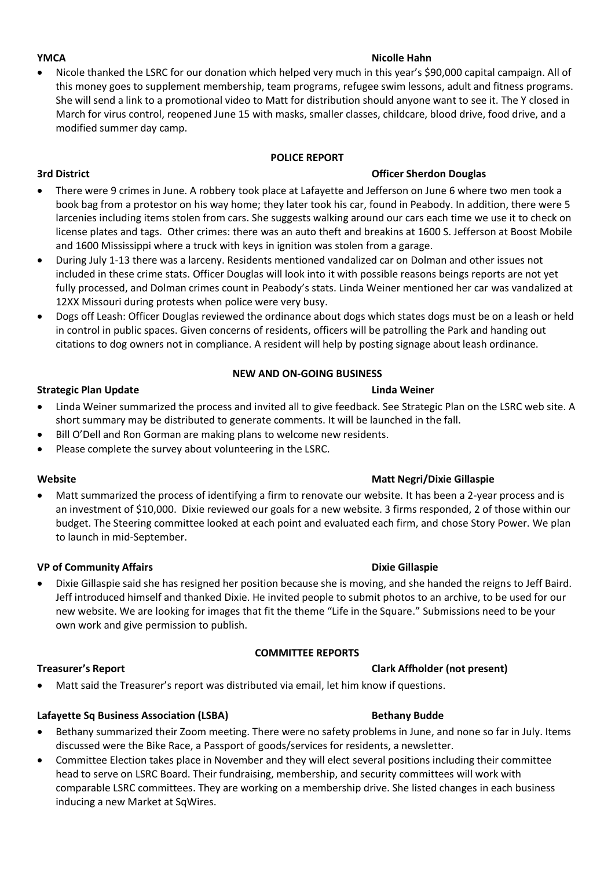### **YMCA** *Nicolle Hahn*

• Nicole thanked the LSRC for our donation which helped very much in this year's \$90,000 capital campaign. All of this money goes to supplement membership, team programs, refugee swim lessons, adult and fitness programs. She will send a link to a promotional video to Matt for distribution should anyone want to see it. The Y closed in March for virus control, reopened June 15 with masks, smaller classes, childcare, blood drive, food drive, and a modified summer day camp.

### **POLICE REPORT**

# **3rd District Officer Sherdon Douglas**

- There were 9 crimes in June. A robbery took place at Lafayette and Jefferson on June 6 where two men took a book bag from a protestor on his way home; they later took his car, found in Peabody. In addition, there were 5 larcenies including items stolen from cars. She suggests walking around our cars each time we use it to check on license plates and tags. Other crimes: there was an auto theft and breakins at 1600 S. Jefferson at Boost Mobile and 1600 Mississippi where a truck with keys in ignition was stolen from a garage.
- During July 1-13 there was a larceny. Residents mentioned vandalized car on Dolman and other issues not included in these crime stats. Officer Douglas will look into it with possible reasons beings reports are not yet fully processed, and Dolman crimes count in Peabody's stats. Linda Weiner mentioned her car was vandalized at 12XX Missouri during protests when police were very busy.
- Dogs off Leash: Officer Douglas reviewed the ordinance about dogs which states dogs must be on a leash or held in control in public spaces. Given concerns of residents, officers will be patrolling the Park and handing out citations to dog owners not in compliance. A resident will help by posting signage about leash ordinance.

### **NEW AND ON-GOING BUSINESS**

### **Strategic Plan Update Linda Weiner Linda Weiner Linda Weiner**

- Linda Weiner summarized the process and invited all to give feedback. See Strategic Plan on the LSRC web site. A short summary may be distributed to generate comments. It will be launched in the fall.
- Bill O'Dell and Ron Gorman are making plans to welcome new residents.
- Please complete the survey about volunteering in the LSRC.

Matt summarized the process of identifying a firm to renovate our website. It has been a 2-year process and is an investment of \$10,000. Dixie reviewed our goals for a new website. 3 firms responded, 2 of those within our budget. The Steering committee looked at each point and evaluated each firm, and chose Story Power. We plan to launch in mid-September.

### **VP of Community Affairs Dixie Gillaspie**

• Dixie Gillaspie said she has resigned her position because she is moving, and she handed the reigns to Jeff Baird. Jeff introduced himself and thanked Dixie. He invited people to submit photos to an archive, to be used for our new website. We are looking for images that fit the theme "Life in the Square." Submissions need to be your own work and give permission to publish.

### **COMMITTEE REPORTS**

### **Treasurer's Report Clark Affholder (not present)**

• Matt said the Treasurer's report was distributed via email, let him know if questions.

### Lafayette Sq Business Association (LSBA) **Bethany Budde**

- Bethany summarized their Zoom meeting. There were no safety problems in June, and none so far in July. Items discussed were the Bike Race, a Passport of goods/services for residents, a newsletter.
- Committee Election takes place in November and they will elect several positions including their committee head to serve on LSRC Board. Their fundraising, membership, and security committees will work with comparable LSRC committees. They are working on a membership drive. She listed changes in each business inducing a new Market at SqWires.

# **Matt Negri/Dixie Gillaspie Matt Negri/Dixie Gillaspie**